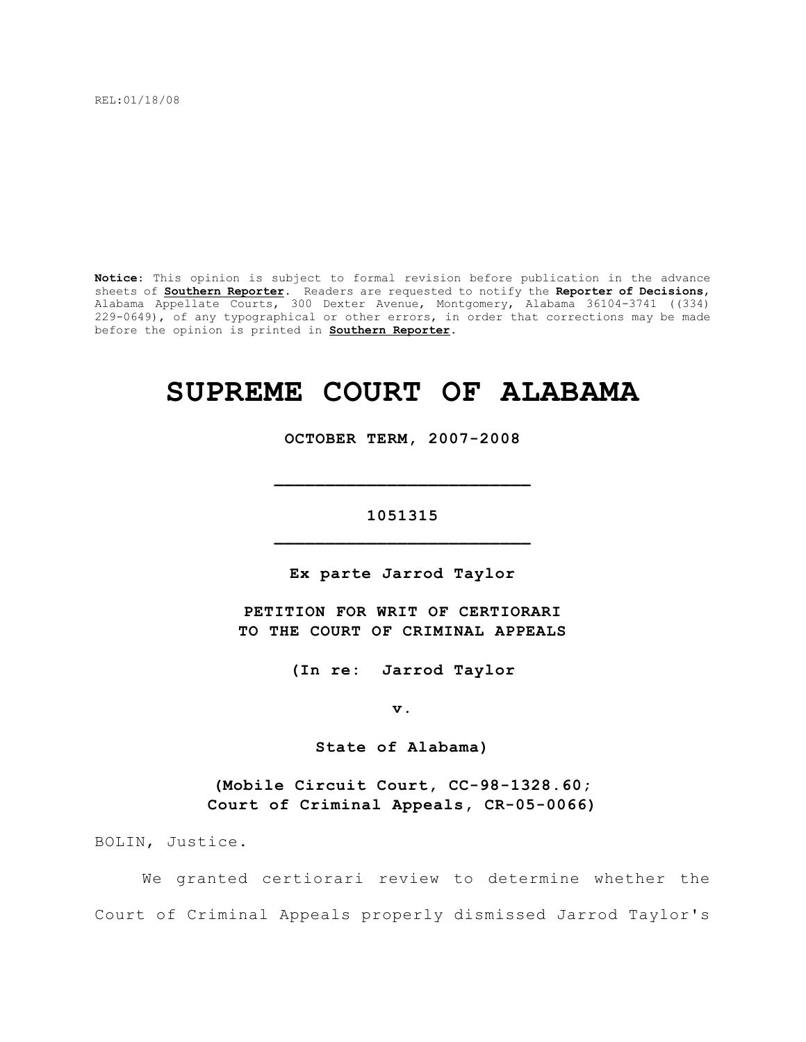REL:01/18/08

**Notice**: This opinion is subject to formal revision before publication in the advance sheets of **Southern Reporter**. Readers are requested to notify the **Reporter of Decisions**, Alabama Appellate Courts, 300 Dexter Avenue, Montgomery, Alabama 36104-3741 ((334) 229-0649), of any typographical or other errors, in order that corrections may be made before the opinion is printed in **Southern Reporter**.

# **SUPREME COURT OF ALABAMA**

**OCTOBER TERM, 2007-2008**

# **1051315 \_\_\_\_\_\_\_\_\_\_\_\_\_\_\_\_\_\_\_\_\_\_\_\_\_**

**\_\_\_\_\_\_\_\_\_\_\_\_\_\_\_\_\_\_\_\_\_\_\_\_\_**

**Ex parte Jarrod Taylor**

**PETITION FOR WRIT OF CERTIORARI TO THE COURT OF CRIMINAL APPEALS**

**(In re: Jarrod Taylor**

**v.**

**State of Alabama)**

**(Mobile Circuit Court, CC-98-1328.60; Court of Criminal Appeals, CR-05-0066)**

BOLIN, Justice.

We granted certiorari review to determine whether the Court of Criminal Appeals properly dismissed Jarrod Taylor's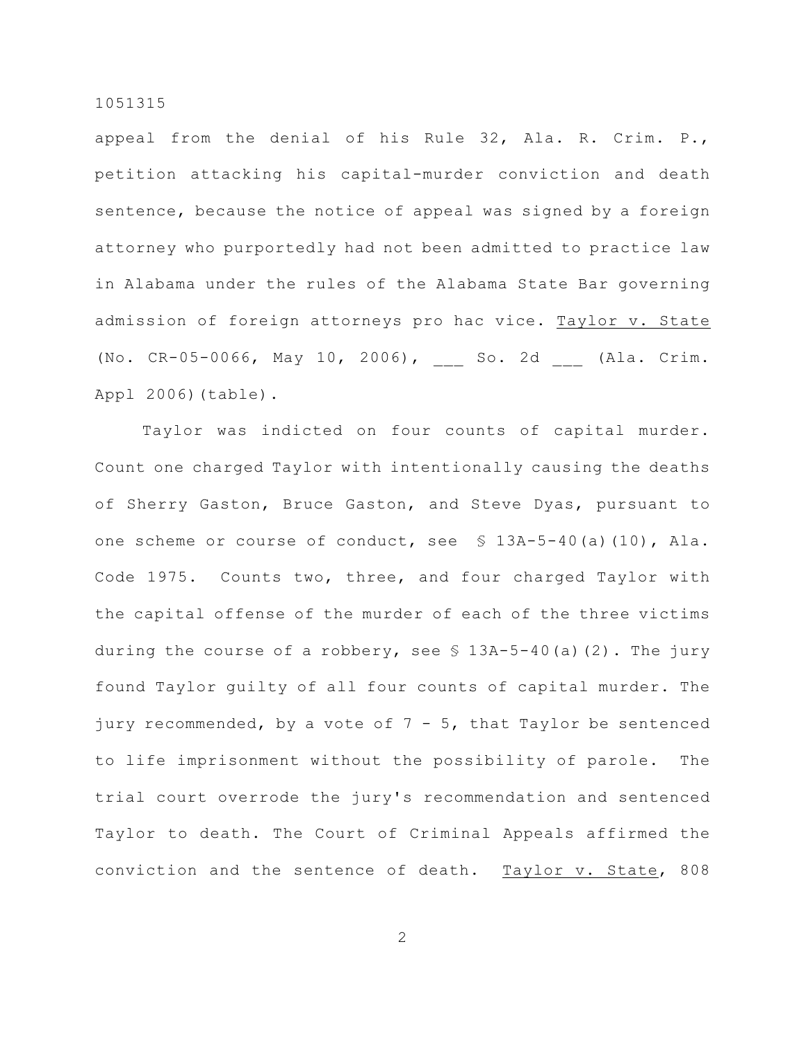appeal from the denial of his Rule 32, Ala. R. Crim. P., petition attacking his capital-murder conviction and death sentence, because the notice of appeal was signed by a foreign attorney who purportedly had not been admitted to practice law in Alabama under the rules of the Alabama State Bar governing admission of foreign attorneys pro hac vice. Taylor v. State (No. CR-05-0066, May 10, 2006), So. 2d (Ala. Crim. Appl 2006)(table).

Taylor was indicted on four counts of capital murder. Count one charged Taylor with intentionally causing the deaths of Sherry Gaston, Bruce Gaston, and Steve Dyas, pursuant to one scheme or course of conduct, see § 13A-5-40(a)(10), Ala. Code 1975. Counts two, three, and four charged Taylor with the capital offense of the murder of each of the three victims during the course of a robbery, see § 13A-5-40(a)(2). The jury found Taylor guilty of all four counts of capital murder. The jury recommended, by a vote of  $7 - 5$ , that Taylor be sentenced to life imprisonment without the possibility of parole. The trial court overrode the jury's recommendation and sentenced Taylor to death. The Court of Criminal Appeals affirmed the conviction and the sentence of death. Taylor v. State, 808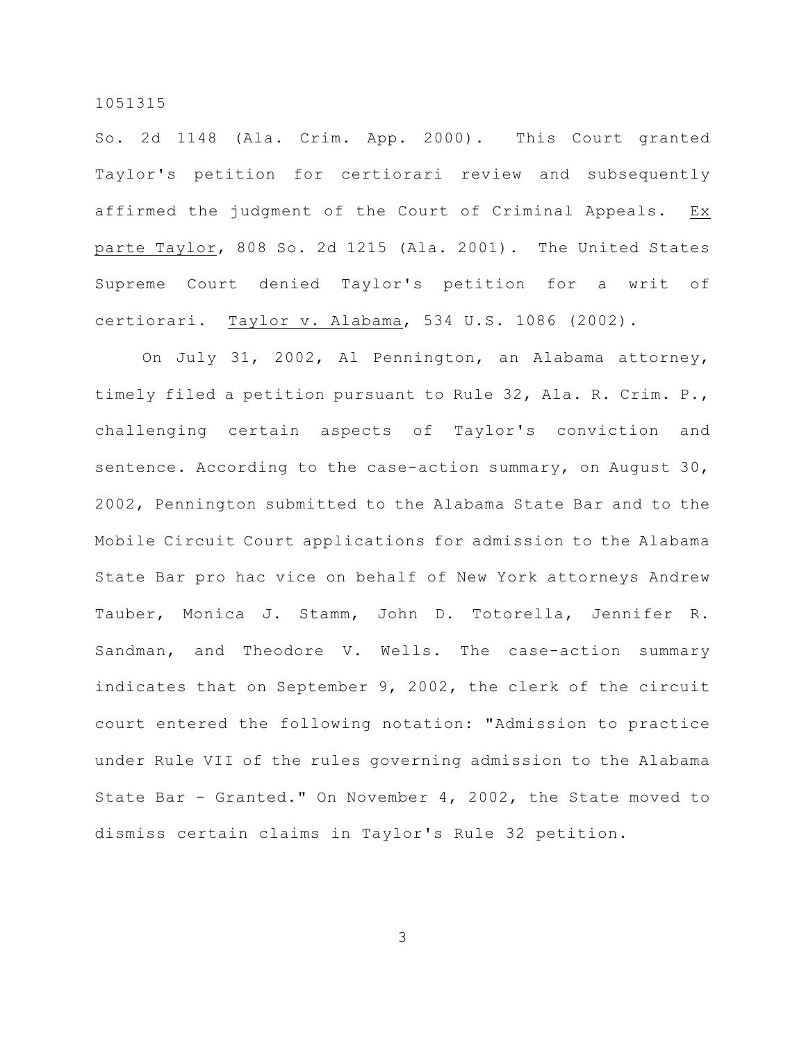So. 2d 1148 (Ala. Crim. App. 2000). This Court granted Taylor's petition for certiorari review and subsequently affirmed the judgment of the Court of Criminal Appeals. Ex parte Taylor, 808 So. 2d 1215 (Ala. 2001). The United States Supreme Court denied Taylor's petition for a writ of certiorari. Taylor v. Alabama, 534 U.S. 1086 (2002).

On July 31, 2002, Al Pennington, an Alabama attorney, timely filed a petition pursuant to Rule 32, Ala. R. Crim. P., challenging certain aspects of Taylor's conviction and sentence. According to the case-action summary, on August 30, 2002, Pennington submitted to the Alabama State Bar and to the Mobile Circuit Court applications for admission to the Alabama State Bar pro hac vice on behalf of New York attorneys Andrew Tauber, Monica J. Stamm, John D. Totorella, Jennifer R. Sandman, and Theodore V. Wells. The case-action summary indicates that on September 9, 2002, the clerk of the circuit court entered the following notation: "Admission to practice under Rule VII of the rules governing admission to the Alabama State Bar - Granted." On November 4, 2002, the State moved to dismiss certain claims in Taylor's Rule 32 petition.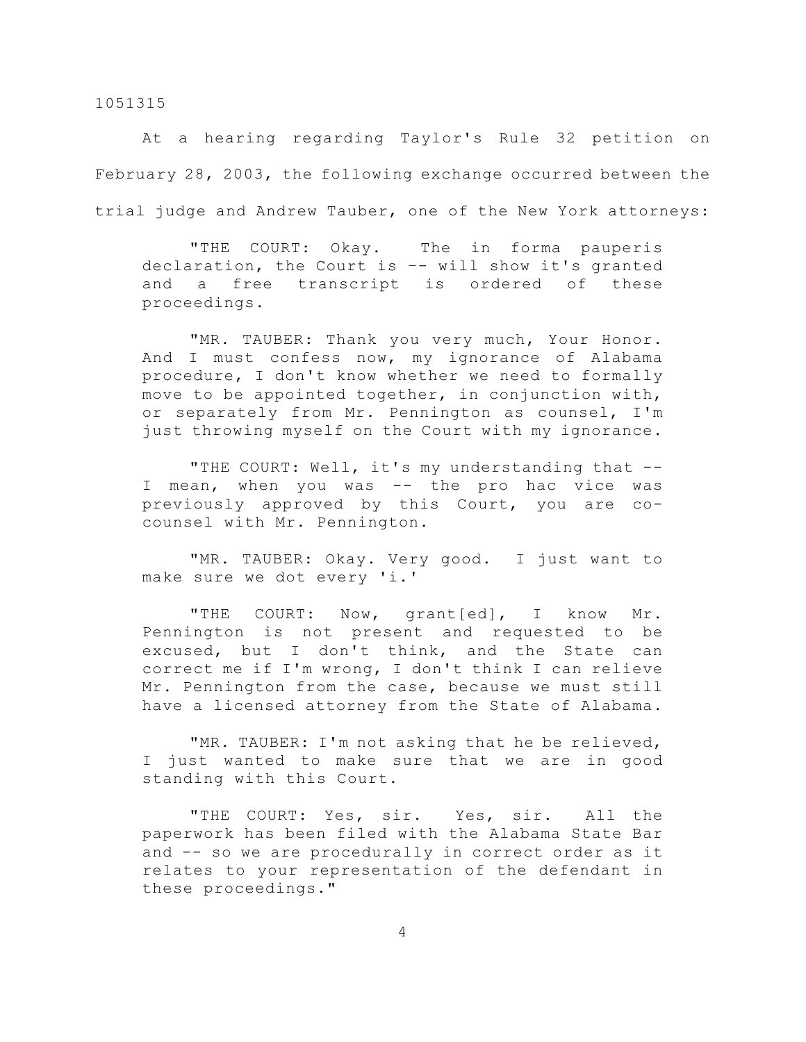At a hearing regarding Taylor's Rule 32 petition on February 28, 2003, the following exchange occurred between the trial judge and Andrew Tauber, one of the New York attorneys:

"THE COURT: Okay. The in forma pauperis declaration, the Court is –- will show it's granted and a free transcript is ordered of these proceedings.

"MR. TAUBER: Thank you very much, Your Honor. And I must confess now, my ignorance of Alabama procedure, I don't know whether we need to formally move to be appointed together, in conjunction with, or separately from Mr. Pennington as counsel, I'm just throwing myself on the Court with my ignorance.

"THE COURT: Well, it's my understanding that -- I mean, when you was -- the pro hac vice was previously approved by this Court, you are cocounsel with Mr. Pennington.

"MR. TAUBER: Okay. Very good. I just want to make sure we dot every 'i.'

"THE COURT: Now, grant[ed], I know Mr. Pennington is not present and requested to be excused, but I don't think, and the State can correct me if I'm wrong, I don't think I can relieve Mr. Pennington from the case, because we must still have a licensed attorney from the State of Alabama.

"MR. TAUBER: I'm not asking that he be relieved, I just wanted to make sure that we are in good standing with this Court.

"THE COURT: Yes, sir. Yes, sir. All the paperwork has been filed with the Alabama State Bar and -- so we are procedurally in correct order as it relates to your representation of the defendant in these proceedings."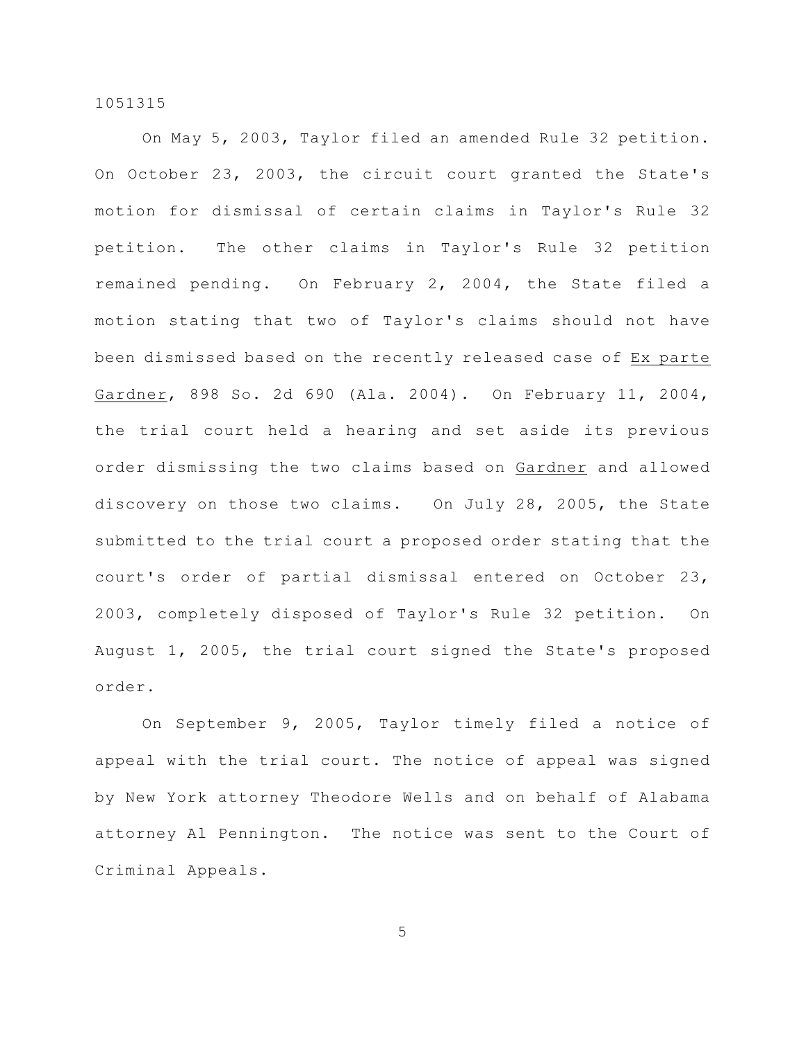On May 5, 2003, Taylor filed an amended Rule 32 petition. On October 23, 2003, the circuit court granted the State's motion for dismissal of certain claims in Taylor's Rule 32 petition. The other claims in Taylor's Rule 32 petition remained pending. On February 2, 2004, the State filed a motion stating that two of Taylor's claims should not have been dismissed based on the recently released case of Ex parte Gardner, 898 So. 2d 690 (Ala. 2004). On February 11, 2004, the trial court held a hearing and set aside its previous order dismissing the two claims based on Gardner and allowed discovery on those two claims. On July 28, 2005, the State submitted to the trial court a proposed order stating that the court's order of partial dismissal entered on October 23, 2003, completely disposed of Taylor's Rule 32 petition. On August 1, 2005, the trial court signed the State's proposed order.

On September 9, 2005, Taylor timely filed a notice of appeal with the trial court. The notice of appeal was signed by New York attorney Theodore Wells and on behalf of Alabama attorney Al Pennington. The notice was sent to the Court of Criminal Appeals.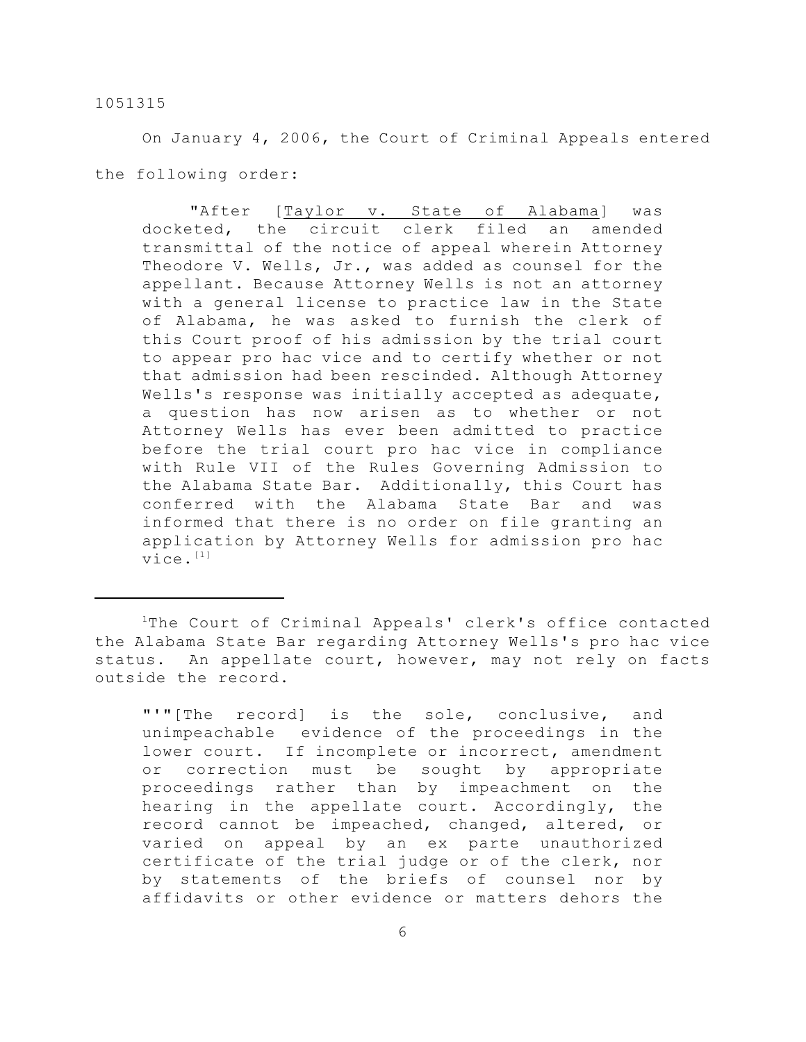On January 4, 2006, the Court of Criminal Appeals entered the following order:

"After [Taylor v. State of Alabama] was docketed, the circuit clerk filed an amended transmittal of the notice of appeal wherein Attorney Theodore V. Wells, Jr., was added as counsel for the appellant. Because Attorney Wells is not an attorney with a general license to practice law in the State of Alabama, he was asked to furnish the clerk of this Court proof of his admission by the trial court to appear pro hac vice and to certify whether or not that admission had been rescinded. Although Attorney Wells's response was initially accepted as adequate, a question has now arisen as to whether or not Attorney Wells has ever been admitted to practice before the trial court pro hac vice in compliance with Rule VII of the Rules Governing Admission to the Alabama State Bar. Additionally, this Court has conferred with the Alabama State Bar and was informed that there is no order on file granting an application by Attorney Wells for admission pro hac vice.<sup>[1]</sup>

"'"[The record] is the sole, conclusive, and unimpeachable evidence of the proceedings in the lower court. If incomplete or incorrect, amendment or correction must be sought by appropriate proceedings rather than by impeachment on the hearing in the appellate court. Accordingly, the record cannot be impeached, changed, altered, or varied on appeal by an ex parte unauthorized certificate of the trial judge or of the clerk, nor by statements of the briefs of counsel nor by affidavits or other evidence or matters dehors the

<sup>&</sup>lt;sup>1</sup>The Court of Criminal Appeals' clerk's office contacted the Alabama State Bar regarding Attorney Wells's pro hac vice status. An appellate court, however, may not rely on facts outside the record.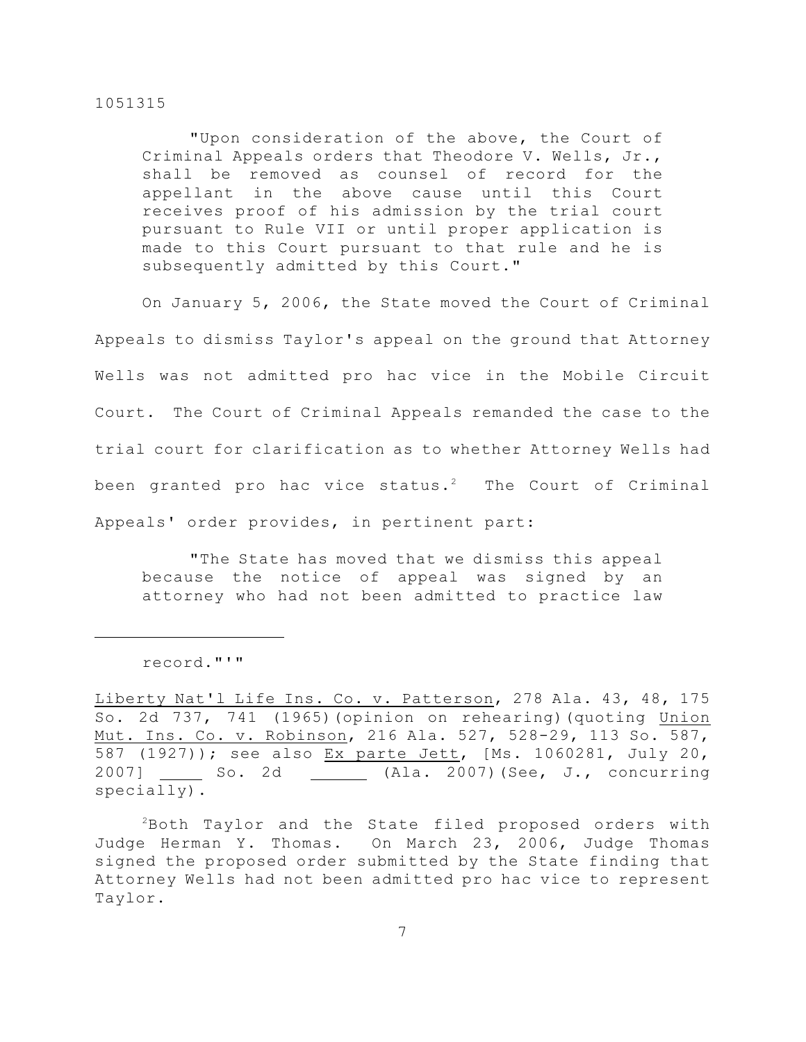"Upon consideration of the above, the Court of Criminal Appeals orders that Theodore V. Wells, Jr., shall be removed as counsel of record for the appellant in the above cause until this Court receives proof of his admission by the trial court pursuant to Rule VII or until proper application is made to this Court pursuant to that rule and he is subsequently admitted by this Court."

On January 5, 2006, the State moved the Court of Criminal Appeals to dismiss Taylor's appeal on the ground that Attorney Wells was not admitted pro hac vice in the Mobile Circuit Court. The Court of Criminal Appeals remanded the case to the trial court for clarification as to whether Attorney Wells had been granted pro hac vice status.<sup>2</sup> The Court of Criminal Appeals' order provides, in pertinent part:

"The State has moved that we dismiss this appeal because the notice of appeal was signed by an attorney who had not been admitted to practice law

record."'"

Liberty Nat'l Life Ins. Co. v. Patterson, 278 Ala. 43, 48, 175 So. 2d 737, 741 (1965)(opinion on rehearing)(quoting Union Mut. Ins. Co. v. Robinson, 216 Ala. 527, 528-29, 113 So. 587, 587 (1927)); see also Ex parte Jett, [Ms. 1060281, July 20, 2007] So. 2d \_\_\_\_\_\_\_ (Ala. 2007)(See, J., concurring specially).

 $2$ Both Taylor and the State filed proposed orders with Judge Herman Y. Thomas. On March 23, 2006, Judge Thomas signed the proposed order submitted by the State finding that Attorney Wells had not been admitted pro hac vice to represent Taylor.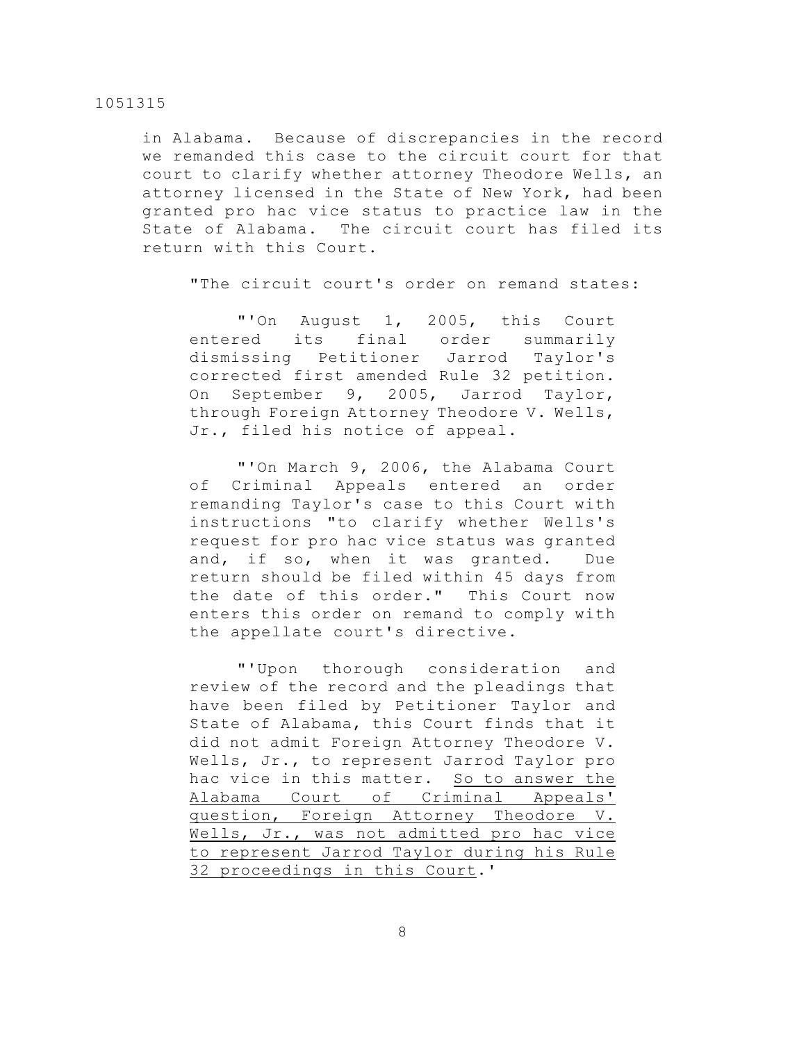in Alabama. Because of discrepancies in the record we remanded this case to the circuit court for that court to clarify whether attorney Theodore Wells, an attorney licensed in the State of New York, had been granted pro hac vice status to practice law in the State of Alabama. The circuit court has filed its return with this Court.

"The circuit court's order on remand states:

"'On August 1, 2005, this Court entered its final order summarily dismissing Petitioner Jarrod Taylor's corrected first amended Rule 32 petition. On September 9, 2005, Jarrod Taylor, through Foreign Attorney Theodore V. Wells, Jr., filed his notice of appeal.

"'On March 9, 2006, the Alabama Court of Criminal Appeals entered an order remanding Taylor's case to this Court with instructions "to clarify whether Wells's request for pro hac vice status was granted and, if so, when it was granted. Due return should be filed within 45 days from the date of this order." This Court now enters this order on remand to comply with the appellate court's directive.

"'Upon thorough consideration and review of the record and the pleadings that have been filed by Petitioner Taylor and State of Alabama, this Court finds that it did not admit Foreign Attorney Theodore V. Wells, Jr., to represent Jarrod Taylor pro hac vice in this matter. So to answer the Alabama Court of Criminal Appeals' question, Foreign Attorney Theodore V. Wells, Jr., was not admitted pro hac vice to represent Jarrod Taylor during his Rule 32 proceedings in this Court.'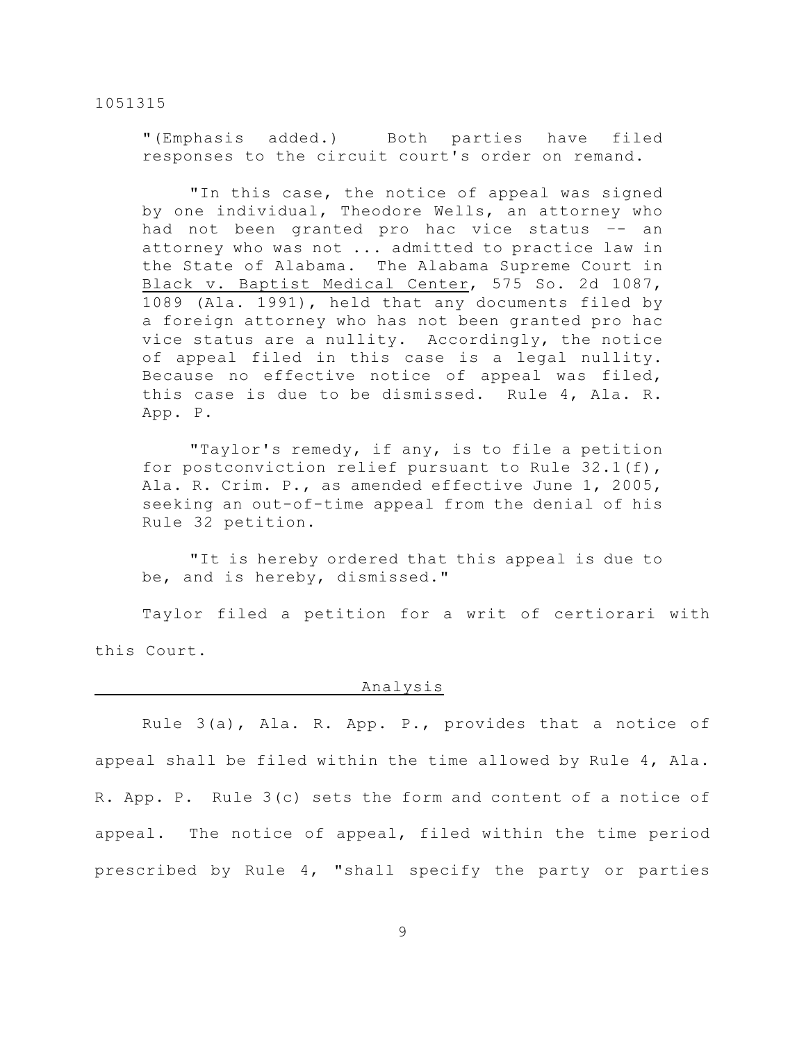"(Emphasis added.) Both parties have filed responses to the circuit court's order on remand.

"In this case, the notice of appeal was signed by one individual, Theodore Wells, an attorney who had not been granted pro hac vice status –- an attorney who was not ... admitted to practice law in the State of Alabama. The Alabama Supreme Court in Black v. Baptist Medical Center, 575 So. 2d 1087, 1089 (Ala. 1991), held that any documents filed by a foreign attorney who has not been granted pro hac vice status are a nullity. Accordingly, the notice of appeal filed in this case is a legal nullity. Because no effective notice of appeal was filed, this case is due to be dismissed. Rule 4, Ala. R. App. P.

"Taylor's remedy, if any, is to file a petition for postconviction relief pursuant to Rule  $32.1(f)$ , Ala. R. Crim. P., as amended effective June 1, 2005, seeking an out-of-time appeal from the denial of his Rule 32 petition.

"It is hereby ordered that this appeal is due to be, and is hereby, dismissed."

Taylor filed a petition for a writ of certiorari with this Court.

#### Analysis

Rule 3(a), Ala. R. App. P., provides that a notice of appeal shall be filed within the time allowed by Rule 4, Ala. R. App. P. Rule 3(c) sets the form and content of a notice of appeal. The notice of appeal, filed within the time period prescribed by Rule 4, "shall specify the party or parties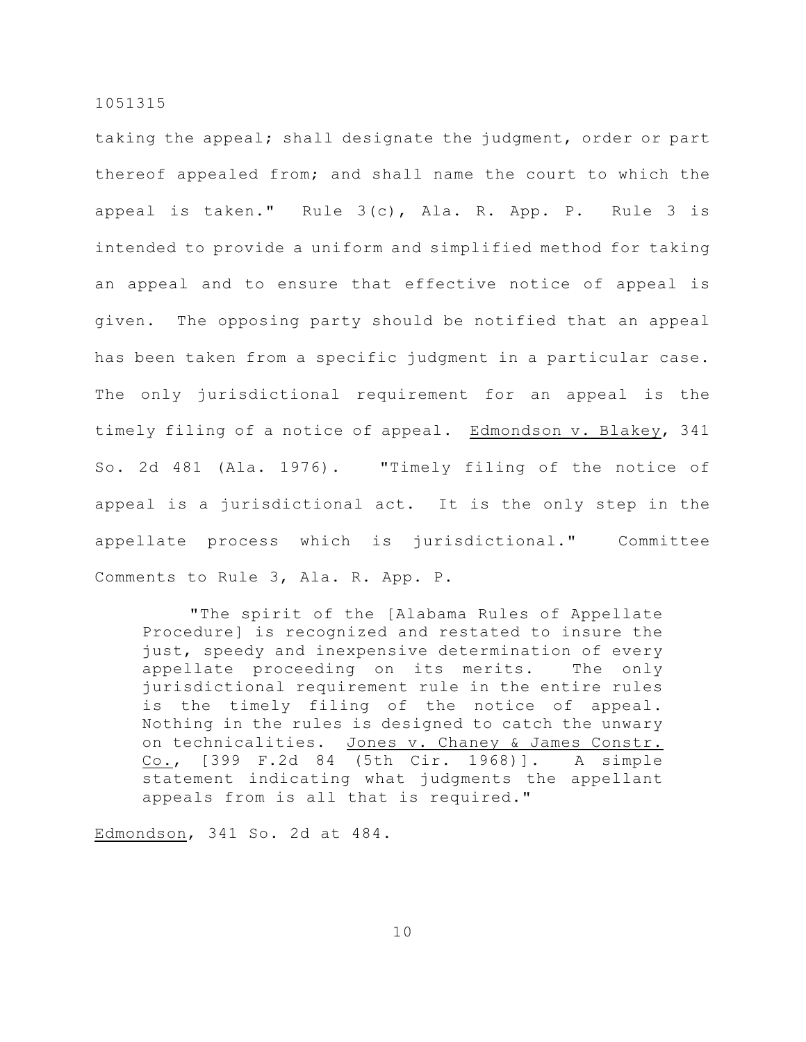taking the appeal; shall designate the judgment, order or part thereof appealed from; and shall name the court to which the appeal is taken." Rule 3(c), Ala. R. App. P. Rule 3 is intended to provide a uniform and simplified method for taking an appeal and to ensure that effective notice of appeal is given. The opposing party should be notified that an appeal has been taken from a specific judgment in a particular case. The only jurisdictional requirement for an appeal is the timely filing of a notice of appeal. Edmondson v. Blakey, 341 So. 2d 481 (Ala. 1976). "Timely filing of the notice of appeal is a jurisdictional act. It is the only step in the appellate process which is jurisdictional." Committee Comments to Rule 3, Ala. R. App. P.

"The spirit of the [Alabama Rules of Appellate Procedure] is recognized and restated to insure the just, speedy and inexpensive determination of every appellate proceeding on its merits. The only jurisdictional requirement rule in the entire rules is the timely filing of the notice of appeal. Nothing in the rules is designed to catch the unwary on technicalities. Jones v. Chaney & James Constr. Co., [399 F.2d 84 (5th Cir. 1968)]. A simple statement indicating what judgments the appellant appeals from is all that is required."

Edmondson, 341 So. 2d at 484.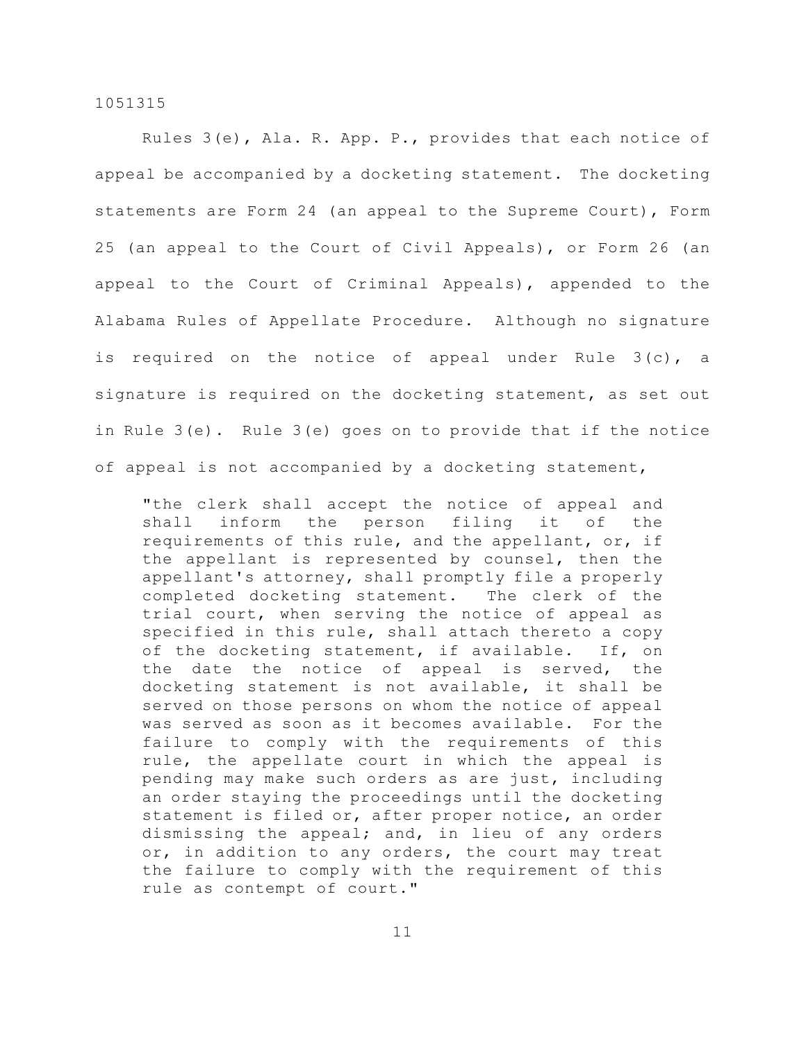Rules 3(e), Ala. R. App. P., provides that each notice of appeal be accompanied by a docketing statement. The docketing statements are Form 24 (an appeal to the Supreme Court), Form 25 (an appeal to the Court of Civil Appeals), or Form 26 (an appeal to the Court of Criminal Appeals), appended to the Alabama Rules of Appellate Procedure. Although no signature is required on the notice of appeal under Rule 3(c), a signature is required on the docketing statement, as set out in Rule 3(e). Rule 3(e) goes on to provide that if the notice of appeal is not accompanied by a docketing statement,

"the clerk shall accept the notice of appeal and shall inform the person filing it of the requirements of this rule, and the appellant, or, if the appellant is represented by counsel, then the appellant's attorney, shall promptly file a properly completed docketing statement. The clerk of the trial court, when serving the notice of appeal as specified in this rule, shall attach thereto a copy of the docketing statement, if available. If, on the date the notice of appeal is served, the docketing statement is not available, it shall be served on those persons on whom the notice of appeal was served as soon as it becomes available. For the failure to comply with the requirements of this rule, the appellate court in which the appeal is pending may make such orders as are just, including an order staying the proceedings until the docketing statement is filed or, after proper notice, an order dismissing the appeal; and, in lieu of any orders or, in addition to any orders, the court may treat the failure to comply with the requirement of this rule as contempt of court."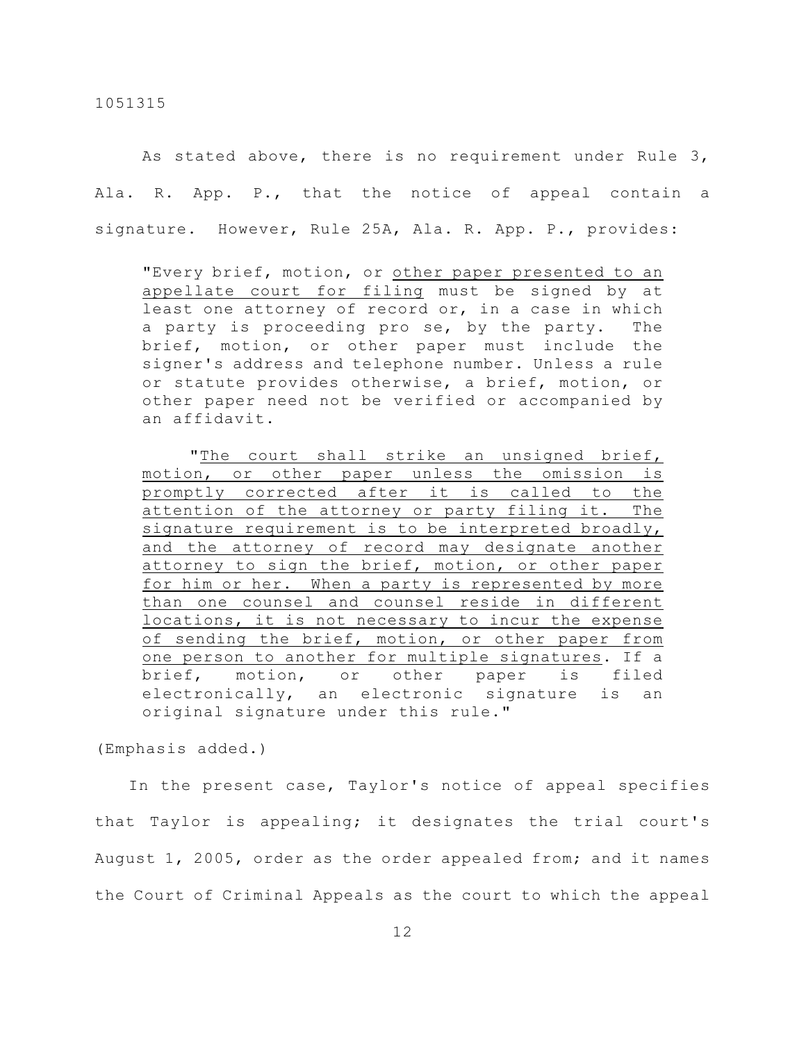As stated above, there is no requirement under Rule 3, Ala. R. App. P., that the notice of appeal contain a signature. However, Rule 25A, Ala. R. App. P., provides:

"Every brief, motion, or other paper presented to an appellate court for filing must be signed by at least one attorney of record or, in a case in which a party is proceeding pro se, by the party. The brief, motion, or other paper must include the signer's address and telephone number. Unless a rule or statute provides otherwise, a brief, motion, or other paper need not be verified or accompanied by an affidavit.

"The court shall strike an unsigned brief, motion, or other paper unless the omission is promptly corrected after it is called to the attention of the attorney or party filing it. The signature requirement is to be interpreted broadly, and the attorney of record may designate another attorney to sign the brief, motion, or other paper for him or her. When a party is represented by more than one counsel and counsel reside in different locations, it is not necessary to incur the expense of sending the brief, motion, or other paper from one person to another for multiple signatures. If a brief, motion, or other paper is filed electronically, an electronic signature is an original signature under this rule."

(Emphasis added.)

In the present case, Taylor's notice of appeal specifies that Taylor is appealing; it designates the trial court's August 1, 2005, order as the order appealed from; and it names the Court of Criminal Appeals as the court to which the appeal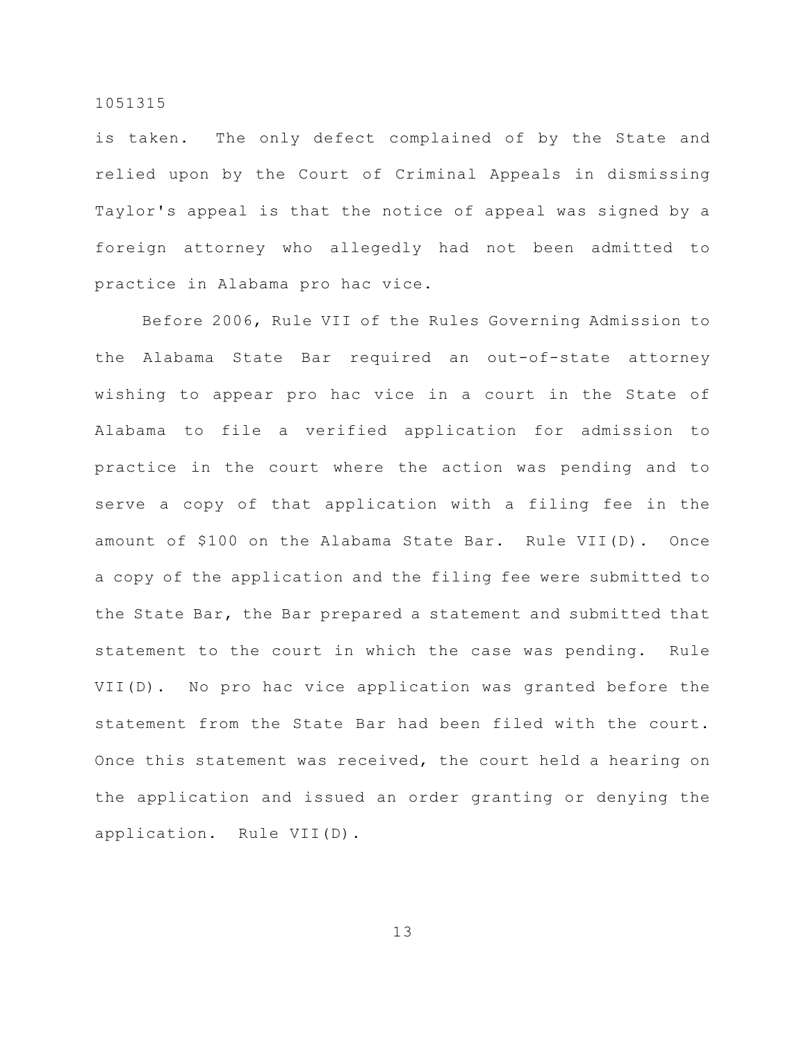is taken. The only defect complained of by the State and relied upon by the Court of Criminal Appeals in dismissing Taylor's appeal is that the notice of appeal was signed by a foreign attorney who allegedly had not been admitted to practice in Alabama pro hac vice.

Before 2006, Rule VII of the Rules Governing Admission to the Alabama State Bar required an out-of-state attorney wishing to appear pro hac vice in a court in the State of Alabama to file a verified application for admission to practice in the court where the action was pending and to serve a copy of that application with a filing fee in the amount of \$100 on the Alabama State Bar. Rule VII(D). Once a copy of the application and the filing fee were submitted to the State Bar, the Bar prepared a statement and submitted that statement to the court in which the case was pending. Rule VII(D). No pro hac vice application was granted before the statement from the State Bar had been filed with the court. Once this statement was received, the court held a hearing on the application and issued an order granting or denying the application. Rule VII(D).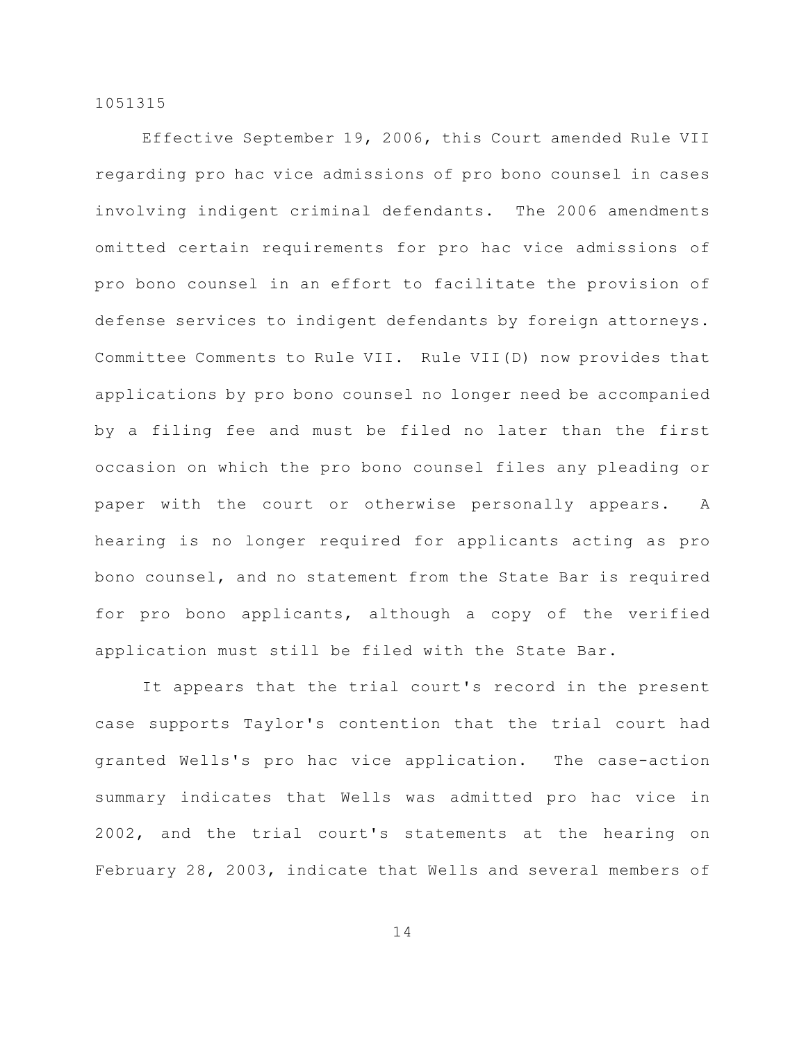Effective September 19, 2006, this Court amended Rule VII regarding pro hac vice admissions of pro bono counsel in cases involving indigent criminal defendants. The 2006 amendments omitted certain requirements for pro hac vice admissions of pro bono counsel in an effort to facilitate the provision of defense services to indigent defendants by foreign attorneys. Committee Comments to Rule VII. Rule VII(D) now provides that applications by pro bono counsel no longer need be accompanied by a filing fee and must be filed no later than the first occasion on which the pro bono counsel files any pleading or paper with the court or otherwise personally appears. A hearing is no longer required for applicants acting as pro bono counsel, and no statement from the State Bar is required for pro bono applicants, although a copy of the verified application must still be filed with the State Bar.

It appears that the trial court's record in the present case supports Taylor's contention that the trial court had granted Wells's pro hac vice application. The case-action summary indicates that Wells was admitted pro hac vice in 2002, and the trial court's statements at the hearing on February 28, 2003, indicate that Wells and several members of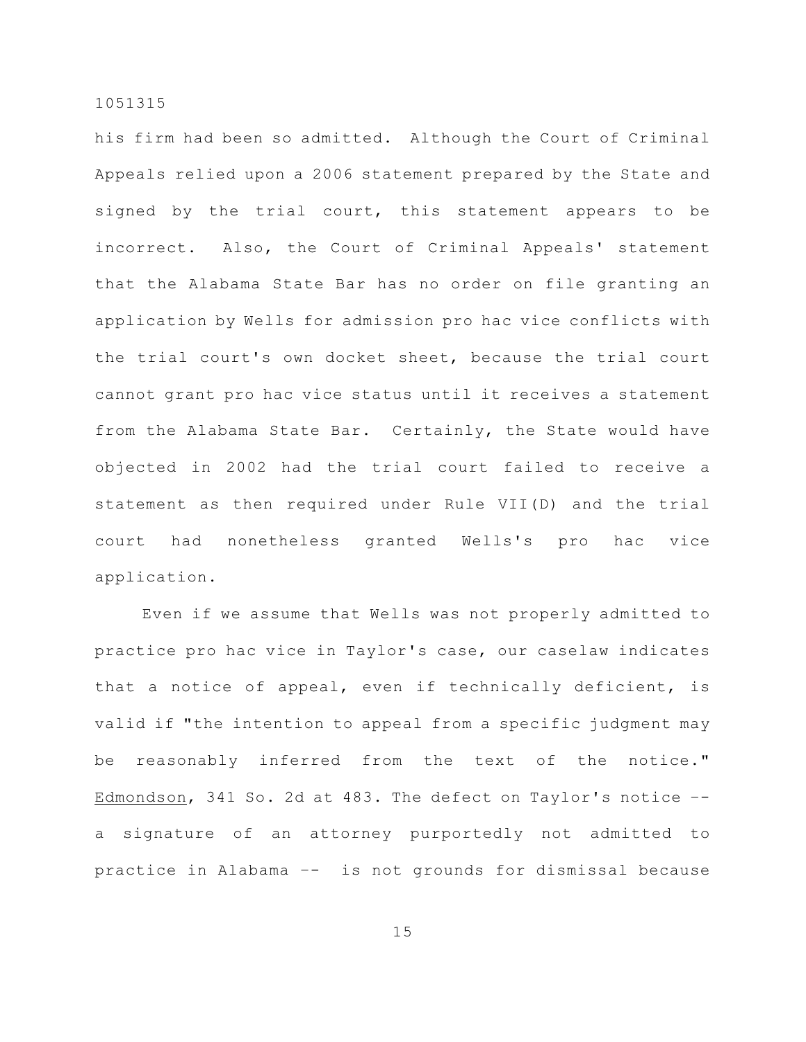his firm had been so admitted. Although the Court of Criminal Appeals relied upon a 2006 statement prepared by the State and signed by the trial court, this statement appears to be incorrect. Also, the Court of Criminal Appeals' statement that the Alabama State Bar has no order on file granting an application by Wells for admission pro hac vice conflicts with the trial court's own docket sheet, because the trial court cannot grant pro hac vice status until it receives a statement from the Alabama State Bar. Certainly, the State would have objected in 2002 had the trial court failed to receive a statement as then required under Rule VII(D) and the trial court had nonetheless granted Wells's pro hac vice application.

Even if we assume that Wells was not properly admitted to practice pro hac vice in Taylor's case, our caselaw indicates that a notice of appeal, even if technically deficient, is valid if "the intention to appeal from a specific judgment may be reasonably inferred from the text of the notice." Edmondson, 341 So. 2d at 483. The defect on Taylor's notice – a signature of an attorney purportedly not admitted to practice in Alabama –- is not grounds for dismissal because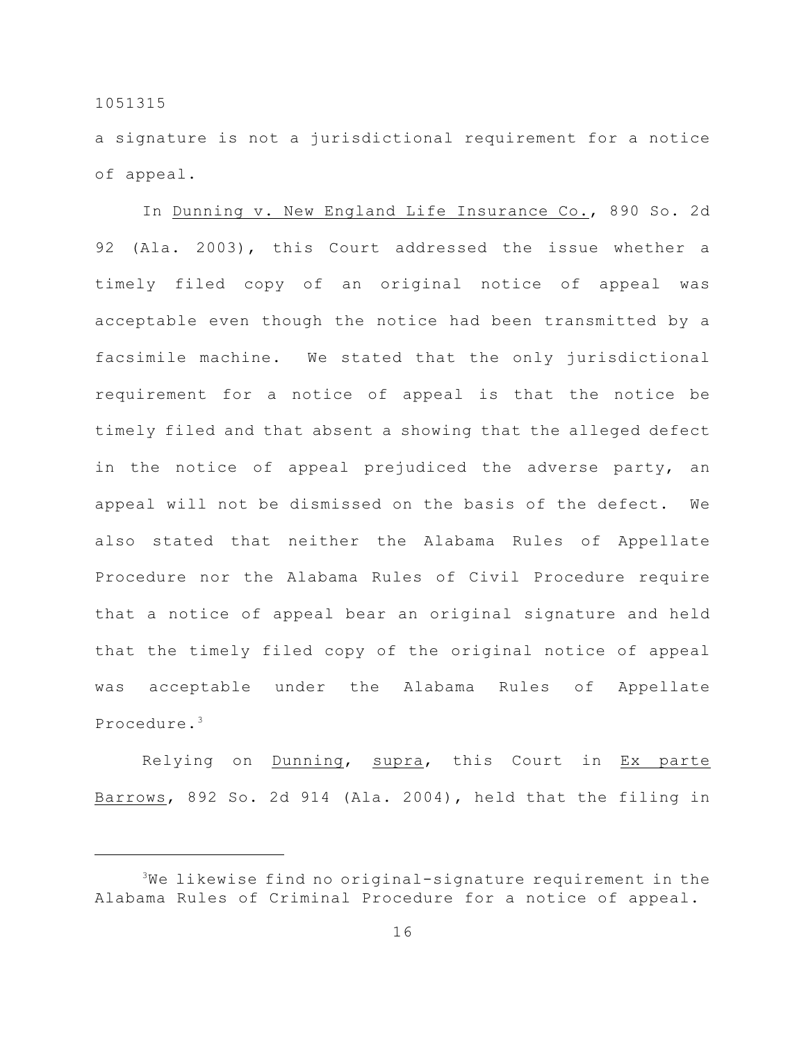a signature is not a jurisdictional requirement for a notice of appeal.

In Dunning v. New England Life Insurance Co., 890 So. 2d 92 (Ala. 2003), this Court addressed the issue whether a timely filed copy of an original notice of appeal was acceptable even though the notice had been transmitted by a facsimile machine. We stated that the only jurisdictional requirement for a notice of appeal is that the notice be timely filed and that absent a showing that the alleged defect in the notice of appeal prejudiced the adverse party, an appeal will not be dismissed on the basis of the defect. We also stated that neither the Alabama Rules of Appellate Procedure nor the Alabama Rules of Civil Procedure require that a notice of appeal bear an original signature and held that the timely filed copy of the original notice of appeal was acceptable under the Alabama Rules of Appellate Procedure.<sup>3</sup>

Relying on Dunning, supra, this Court in Ex parte Barrows, 892 So. 2d 914 (Ala. 2004), held that the filing in

 $3$ We likewise find no original-signature requirement in the Alabama Rules of Criminal Procedure for a notice of appeal.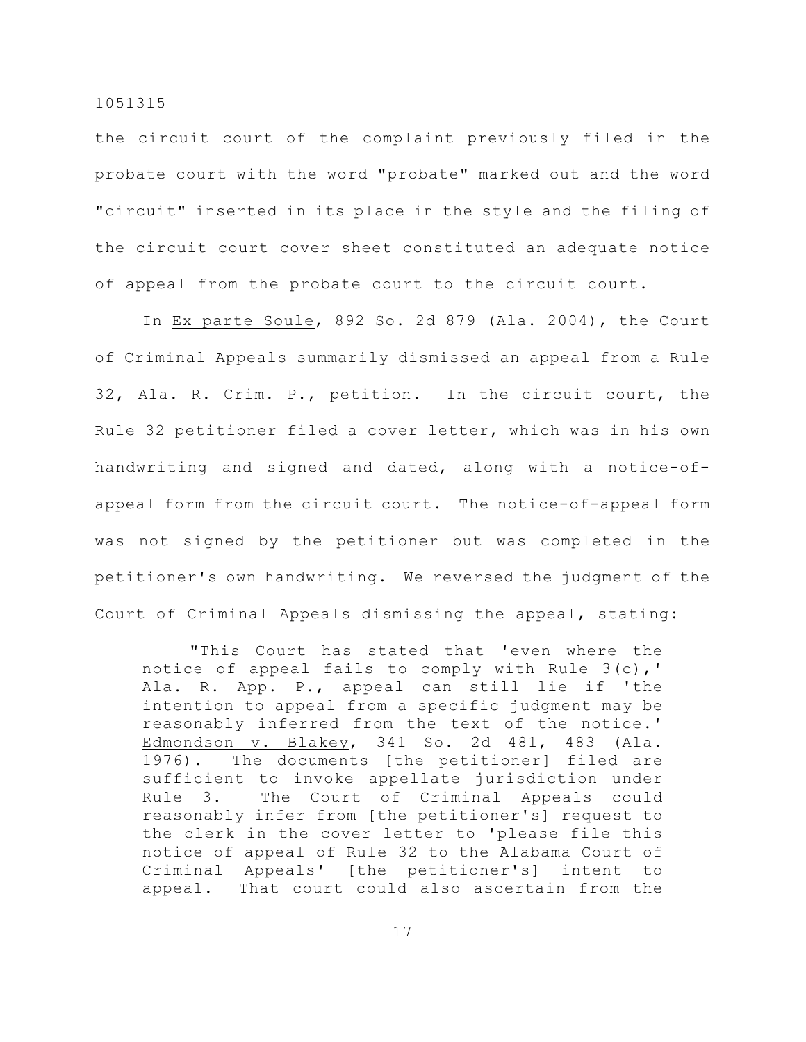the circuit court of the complaint previously filed in the probate court with the word "probate" marked out and the word "circuit" inserted in its place in the style and the filing of the circuit court cover sheet constituted an adequate notice of appeal from the probate court to the circuit court.

In Ex parte Soule, 892 So. 2d 879 (Ala. 2004), the Court of Criminal Appeals summarily dismissed an appeal from a Rule 32, Ala. R. Crim. P., petition. In the circuit court, the Rule 32 petitioner filed a cover letter, which was in his own handwriting and signed and dated, along with a notice-ofappeal form from the circuit court. The notice-of-appeal form was not signed by the petitioner but was completed in the petitioner's own handwriting. We reversed the judgment of the Court of Criminal Appeals dismissing the appeal, stating:

"This Court has stated that 'even where the notice of appeal fails to comply with Rule  $3(c)$ ,' Ala. R. App. P., appeal can still lie if 'the intention to appeal from a specific judgment may be reasonably inferred from the text of the notice.' Edmondson v. Blakey, 341 So. 2d 481, 483 (Ala. 1976). The documents [the petitioner] filed are sufficient to invoke appellate jurisdiction under Rule 3. The Court of Criminal Appeals could reasonably infer from [the petitioner's] request to the clerk in the cover letter to 'please file this notice of appeal of Rule 32 to the Alabama Court of Criminal Appeals' [the petitioner's] intent to appeal. That court could also ascertain from the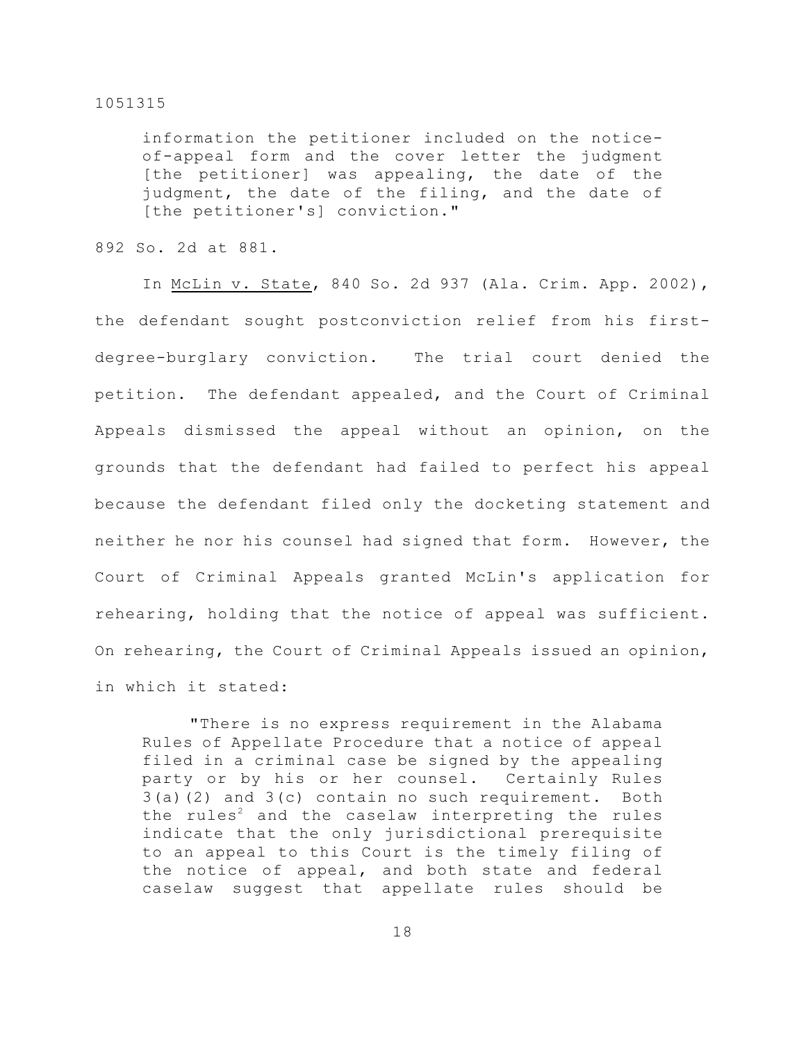information the petitioner included on the noticeof-appeal form and the cover letter the judgment [the petitioner] was appealing, the date of the judgment, the date of the filing, and the date of [the petitioner's] conviction."

892 So. 2d at 881.

In McLin v. State, 840 So. 2d 937 (Ala. Crim. App. 2002), the defendant sought postconviction relief from his firstdegree-burglary conviction. The trial court denied the petition. The defendant appealed, and the Court of Criminal Appeals dismissed the appeal without an opinion, on the grounds that the defendant had failed to perfect his appeal because the defendant filed only the docketing statement and neither he nor his counsel had signed that form. However, the Court of Criminal Appeals granted McLin's application for rehearing, holding that the notice of appeal was sufficient. On rehearing, the Court of Criminal Appeals issued an opinion, in which it stated:

"There is no express requirement in the Alabama Rules of Appellate Procedure that a notice of appeal filed in a criminal case be signed by the appealing party or by his or her counsel. Certainly Rules 3(a)(2) and 3(c) contain no such requirement. Both the rules<sup>2</sup> and the caselaw interpreting the rules indicate that the only jurisdictional prerequisite to an appeal to this Court is the timely filing of the notice of appeal, and both state and federal caselaw suggest that appellate rules should be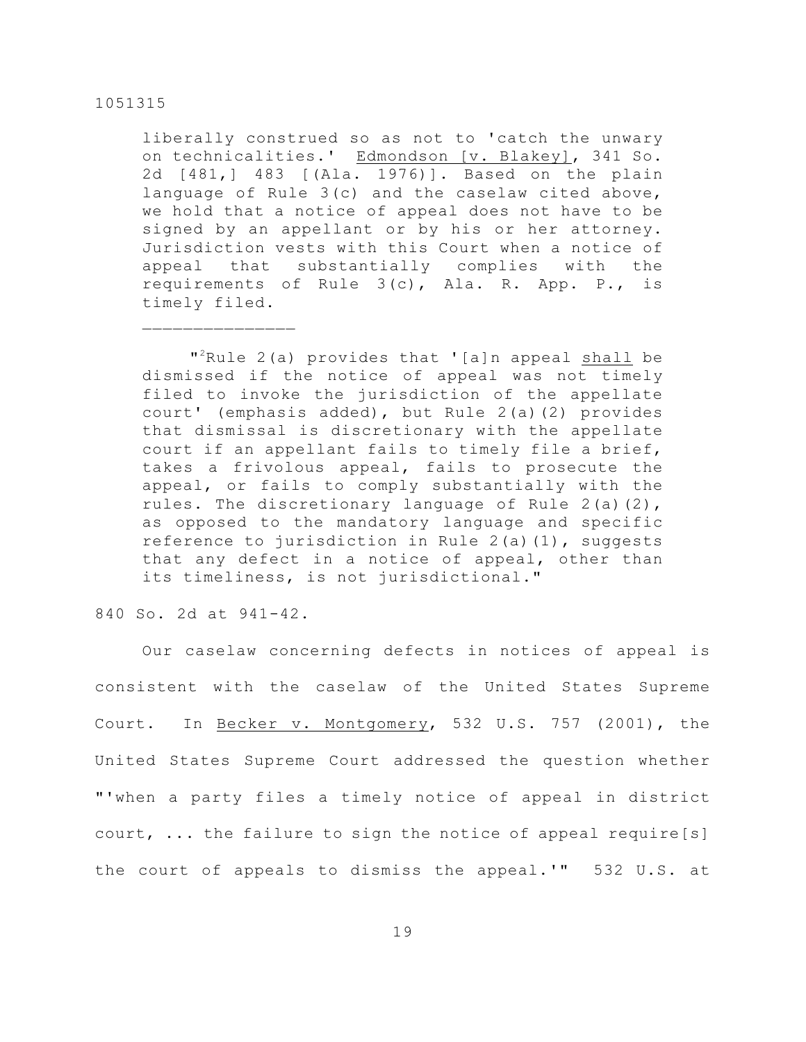liberally construed so as not to 'catch the unwary on technicalities.' Edmondson [v. Blakey], 341 So. 2d [481,] 483 [(Ala. 1976)]. Based on the plain language of Rule 3(c) and the caselaw cited above, we hold that a notice of appeal does not have to be signed by an appellant or by his or her attorney. Jurisdiction vests with this Court when a notice of appeal that substantially complies with the requirements of Rule 3(c), Ala. R. App. P., is timely filed.

"<sup>2</sup>Rule 2(a) provides that '[a]n appeal shall be dismissed if the notice of appeal was not timely filed to invoke the jurisdiction of the appellate court' (emphasis added), but Rule 2(a)(2) provides that dismissal is discretionary with the appellate court if an appellant fails to timely file a brief, takes a frivolous appeal, fails to prosecute the appeal, or fails to comply substantially with the rules. The discretionary language of Rule  $2(a)(2)$ , as opposed to the mandatory language and specific reference to jurisdiction in Rule 2(a)(1), suggests that any defect in a notice of appeal, other than its timeliness, is not jurisdictional."

840 So. 2d at 941-42.

 $\mathcal{L}_\text{max}$ 

Our caselaw concerning defects in notices of appeal is consistent with the caselaw of the United States Supreme Court. In Becker v. Montgomery, 532 U.S. 757 (2001), the United States Supreme Court addressed the question whether "'when a party files a timely notice of appeal in district court, ... the failure to sign the notice of appeal require[s] the court of appeals to dismiss the appeal.'" 532 U.S. at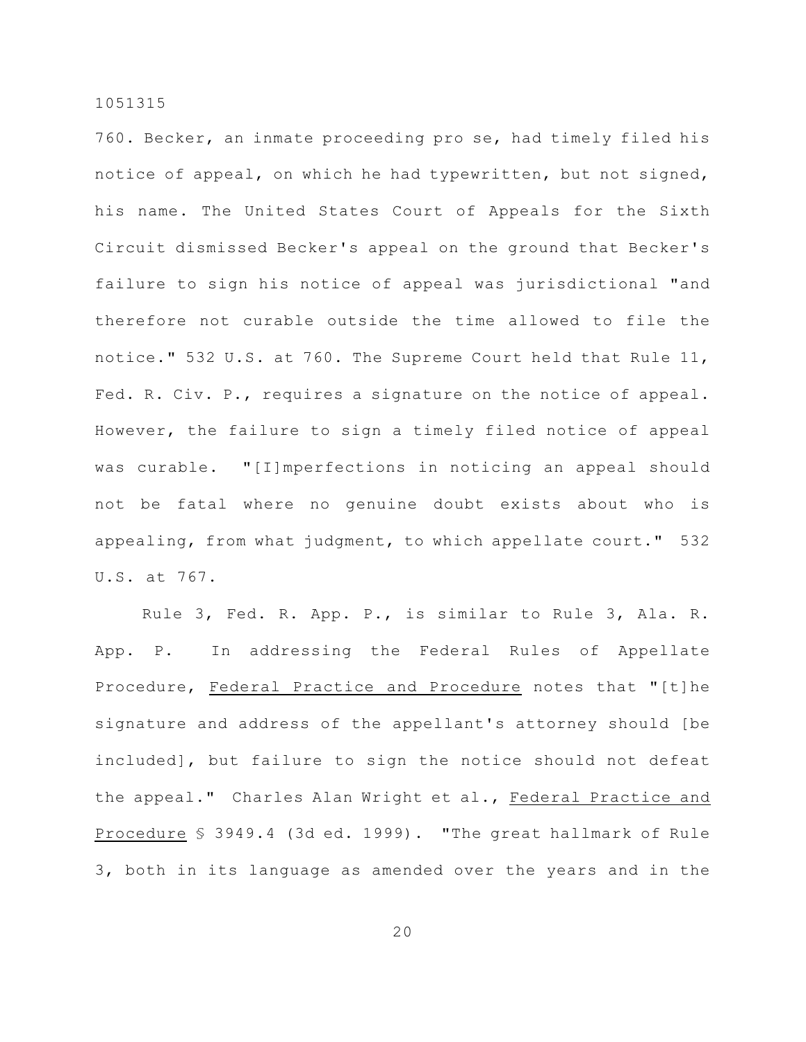760. Becker, an inmate proceeding pro se, had timely filed his notice of appeal, on which he had typewritten, but not signed, his name. The United States Court of Appeals for the Sixth Circuit dismissed Becker's appeal on the ground that Becker's failure to sign his notice of appeal was jurisdictional "and therefore not curable outside the time allowed to file the notice." 532 U.S. at 760. The Supreme Court held that Rule 11, Fed. R. Civ. P., requires a signature on the notice of appeal. However, the failure to sign a timely filed notice of appeal was curable. "[I]mperfections in noticing an appeal should not be fatal where no genuine doubt exists about who is appealing, from what judgment, to which appellate court." 532 U.S. at 767.

Rule 3, Fed. R. App. P., is similar to Rule 3, Ala. R. App. P. In addressing the Federal Rules of Appellate Procedure, Federal Practice and Procedure notes that "[t]he signature and address of the appellant's attorney should [be included], but failure to sign the notice should not defeat the appeal." Charles Alan Wright et al., Federal Practice and Procedure § 3949.4 (3d ed. 1999). "The great hallmark of Rule 3, both in its language as amended over the years and in the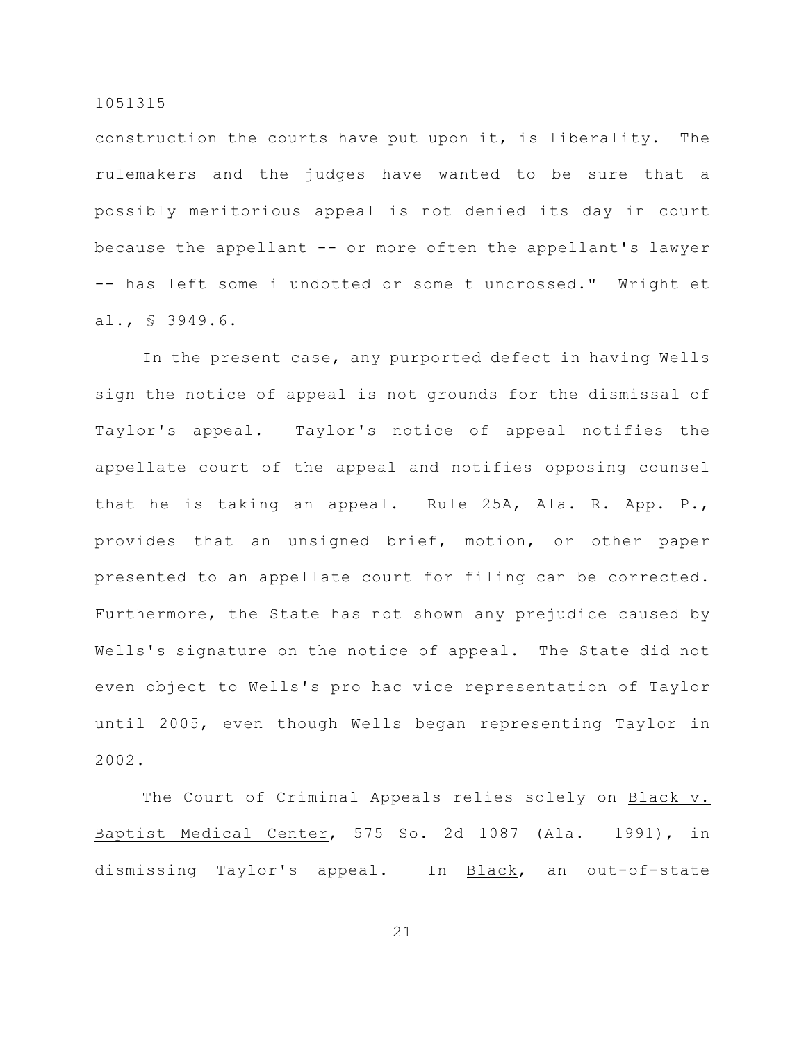construction the courts have put upon it, is liberality. The rulemakers and the judges have wanted to be sure that a possibly meritorious appeal is not denied its day in court because the appellant -- or more often the appellant's lawyer -- has left some i undotted or some t uncrossed." Wright et al., § 3949.6.

In the present case, any purported defect in having Wells sign the notice of appeal is not grounds for the dismissal of Taylor's appeal. Taylor's notice of appeal notifies the appellate court of the appeal and notifies opposing counsel that he is taking an appeal. Rule 25A, Ala. R. App. P., provides that an unsigned brief, motion, or other paper presented to an appellate court for filing can be corrected. Furthermore, the State has not shown any prejudice caused by Wells's signature on the notice of appeal. The State did not even object to Wells's pro hac vice representation of Taylor until 2005, even though Wells began representing Taylor in 2002.

The Court of Criminal Appeals relies solely on Black v. Baptist Medical Center, 575 So. 2d 1087 (Ala. 1991), in dismissing Taylor's appeal. In Black, an out-of-state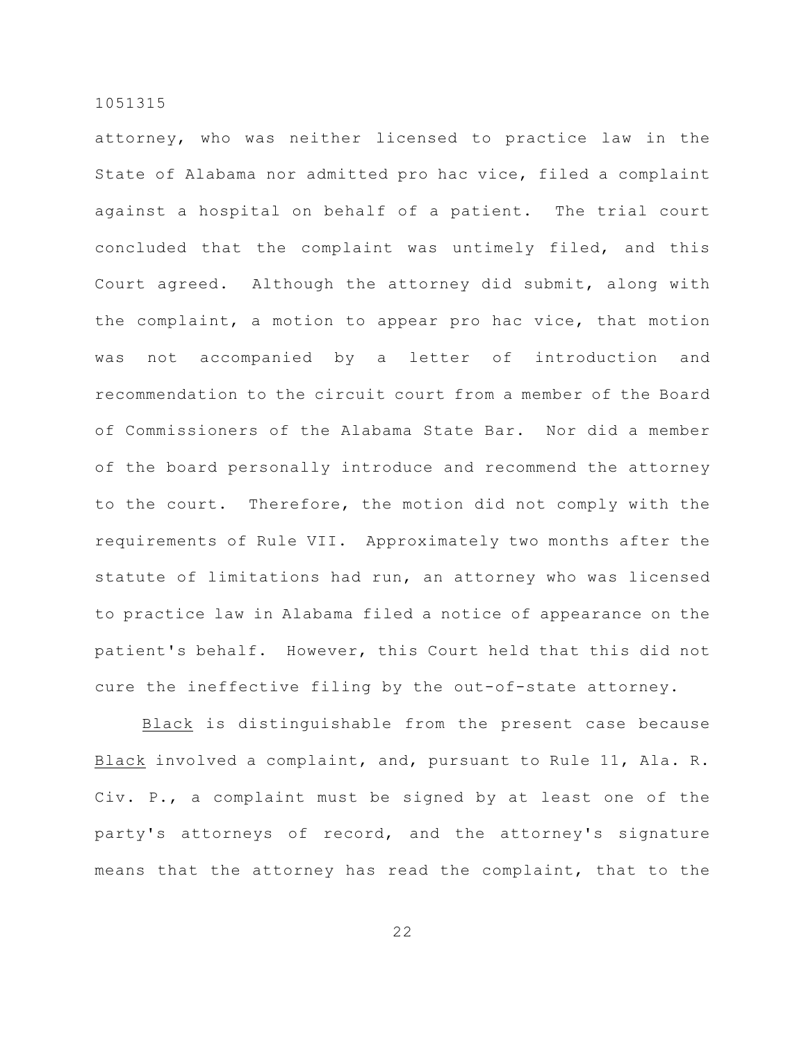attorney, who was neither licensed to practice law in the State of Alabama nor admitted pro hac vice, filed a complaint against a hospital on behalf of a patient. The trial court concluded that the complaint was untimely filed, and this Court agreed. Although the attorney did submit, along with the complaint, a motion to appear pro hac vice, that motion was not accompanied by a letter of introduction and recommendation to the circuit court from a member of the Board of Commissioners of the Alabama State Bar. Nor did a member of the board personally introduce and recommend the attorney to the court. Therefore, the motion did not comply with the requirements of Rule VII. Approximately two months after the statute of limitations had run, an attorney who was licensed to practice law in Alabama filed a notice of appearance on the patient's behalf. However, this Court held that this did not cure the ineffective filing by the out-of-state attorney.

Black is distinguishable from the present case because Black involved a complaint, and, pursuant to Rule 11, Ala. R. Civ. P., a complaint must be signed by at least one of the party's attorneys of record, and the attorney's signature means that the attorney has read the complaint, that to the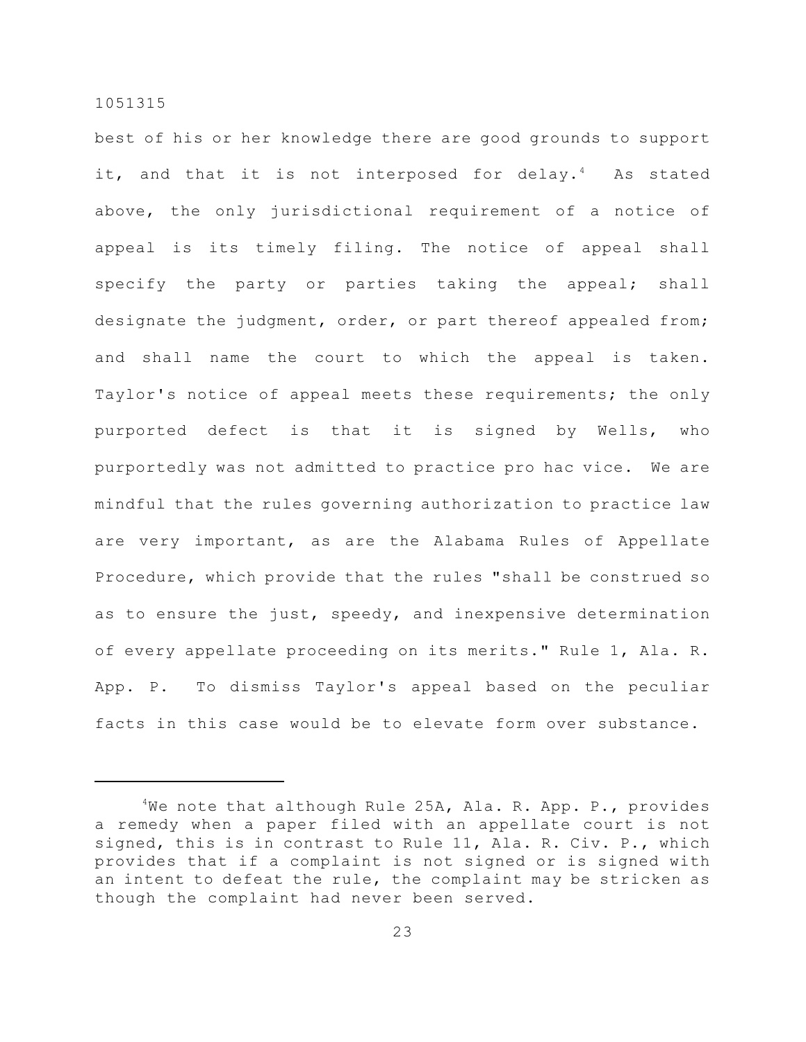best of his or her knowledge there are good grounds to support it, and that it is not interposed for delay.<sup>4</sup> As stated above, the only jurisdictional requirement of a notice of appeal is its timely filing. The notice of appeal shall specify the party or parties taking the appeal; shall designate the judgment, order, or part thereof appealed from; and shall name the court to which the appeal is taken. Taylor's notice of appeal meets these requirements; the only purported defect is that it is signed by Wells, who purportedly was not admitted to practice pro hac vice. We are mindful that the rules governing authorization to practice law are very important, as are the Alabama Rules of Appellate Procedure, which provide that the rules "shall be construed so as to ensure the just, speedy, and inexpensive determination of every appellate proceeding on its merits." Rule 1, Ala. R. App. P. To dismiss Taylor's appeal based on the peculiar facts in this case would be to elevate form over substance.

<sup>&</sup>lt;sup>4</sup>We note that although Rule 25A, Ala. R. App. P., provides a remedy when a paper filed with an appellate court is not signed, this is in contrast to Rule 11, Ala. R. Civ. P., which provides that if a complaint is not signed or is signed with an intent to defeat the rule, the complaint may be stricken as though the complaint had never been served.